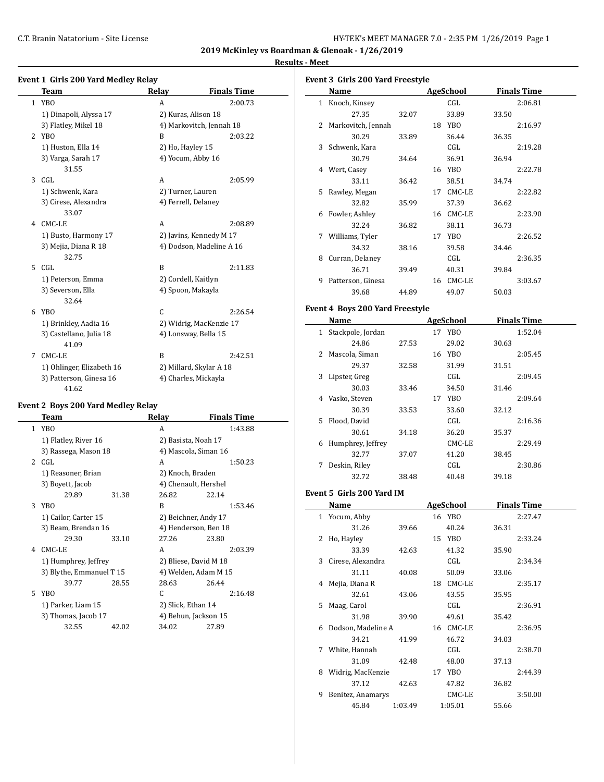**2019 McKinley vs Boardman & Glenoak - 1/26/2019**

 $\overline{a}$ 

#### **Results - Meet**

|    | Team                             | Relay             | <b>Finals Time</b>       |
|----|----------------------------------|-------------------|--------------------------|
|    | 1 YBO                            | A                 | 2:00.73                  |
|    | 1) Dinapoli, Alyssa 17           |                   | 2) Kuras, Alison 18      |
|    | 3) Flatley, Mikel 18             |                   | 4) Markovitch, Jennah 18 |
|    | 2 YBO                            | B                 | 2:03.22                  |
|    | 1) Huston, Ella 14               | 2) Ho, Hayley 15  |                          |
|    | 3) Varga, Sarah 17<br>31.55      |                   | 4) Yocum, Abby 16        |
| 3  | CGL                              | A                 | 2:05.99                  |
|    | 1) Schwenk, Kara                 | 2) Turner, Lauren |                          |
|    | 3) Cirese, Alexandra<br>33.07    |                   | 4) Ferrell, Delaney      |
|    | 4 CMC-LE                         | A                 | 2:08.89                  |
|    | 1) Busto, Harmony 17             |                   | 2) Javins, Kennedy M 17  |
|    | 3) Mejia, Diana R 18<br>32.75    |                   | 4) Dodson, Madeline A 16 |
| 5. | CGL                              | R                 | 2:11.83                  |
|    | 1) Peterson, Emma                |                   | 2) Cordell, Kaitlyn      |
|    | 3) Severson, Ella<br>32.64       |                   | 4) Spoon, Makayla        |
|    | 6 YBO                            | C                 | 2:26.54                  |
|    | 1) Brinkley, Aadia 16            |                   | 2) Widrig, MacKenzie 17  |
|    | 3) Castellano, Julia 18<br>41.09 |                   | 4) Lonsway, Bella 15     |
| 7  | CMC-LE                           | R                 | 2:42.51                  |
|    | 1) Ohlinger, Elizabeth 16        |                   | 2) Millard, Skylar A 18  |
|    | 3) Patterson, Ginesa 16          |                   | 4) Charles, Mickayla     |

# **Event 2 Boys 200 Yard Medley Relay**

|               | Team                     |       | Relay                 | <b>Finals Time</b>   |
|---------------|--------------------------|-------|-----------------------|----------------------|
| $\mathbf{1}$  | YB <sub>0</sub>          |       | A                     | 1:43.88              |
|               | 1) Flatley, River 16     |       | 2) Basista, Noah 17   |                      |
|               | 3) Rassega, Mason 18     |       | 4) Mascola, Siman 16  |                      |
| $\mathcal{L}$ | CGL                      |       | A                     | 1:50.23              |
|               | 1) Reasoner, Brian       |       | 2) Knoch, Braden      |                      |
|               | 3) Boyett, Jacob         |       | 4) Chenault, Hershel  |                      |
|               | 29.89                    | 31.38 | 26.82                 | 22.14                |
| 3             | YBO                      |       | B                     | 1:53.46              |
|               | 1) Cailor, Carter 15     |       | 2) Beichner, Andy 17  |                      |
|               | 3) Beam, Brendan 16      |       | 4) Henderson, Ben 18  |                      |
|               | 29.30                    | 33.10 | 27.26                 | 23.80                |
| 4             | CMC-LE                   |       | A                     | 2:03.39              |
|               | 1) Humphrey, Jeffrey     |       | 2) Bliese, David M 18 |                      |
|               | 3) Blythe, Emmanuel T 15 |       |                       | 4) Welden, Adam M 15 |
|               | 39.77                    | 28.55 | 28.63                 | 26.44                |
| 5.            | YBO                      |       | C                     | 2:16.48              |
|               | 1) Parker, Liam 15       |       | 2) Slick, Ethan 14    |                      |
|               | 3) Thomas, Jacob 17      |       | 4) Behun, Jackson 15  |                      |
|               | 32.55                    | 42.02 | 34.02                 | 27.89                |

| Event 3  Girls 200 Yard Freestyle |                    |       |    |                 |       |                    |
|-----------------------------------|--------------------|-------|----|-----------------|-------|--------------------|
|                                   | Name               |       |    | AgeSchool       |       | <b>Finals Time</b> |
| $\mathbf{1}$                      | Knoch, Kinsey      |       |    | CGL             |       | 2:06.81            |
|                                   | 27.35              | 32.07 |    | 33.89           | 33.50 |                    |
| 2                                 | Markovitch, Jennah |       |    | 18 YBO          |       | 2:16.97            |
|                                   | 30.29              | 33.89 |    | 36.44           | 36.35 |                    |
|                                   | 3 Schwenk, Kara    |       |    | CGL             |       | 2:19.28            |
|                                   | 30.79              | 34.64 |    | 36.91           | 36.94 |                    |
| 4                                 | Wert, Casey        |       | 16 | YBO             |       | 2:22.78            |
|                                   | 33.11              | 36.42 |    | 38.51           | 34.74 |                    |
| 5.                                | Rawley, Megan      |       | 17 | CMC-LE          |       | 2:22.82            |
|                                   | 32.82              | 35.99 |    | 37.39           | 36.62 |                    |
| 6                                 | Fowler, Ashley     |       |    | 16 CMC-LE       |       | 2:23.90            |
|                                   | 32.24              | 36.82 |    | 38.11           | 36.73 |                    |
| 7                                 | Williams, Tyler    |       | 17 | YB <sub>0</sub> |       | 2:26.52            |
|                                   | 34.32              | 38.16 |    | 39.58           | 34.46 |                    |
| 8                                 | Curran, Delaney    |       |    | CGL             |       | 2:36.35            |
|                                   | 36.71              | 39.49 |    | 40.31           | 39.84 |                    |
| 9                                 | Patterson, Ginesa  |       | 16 | CMC-LE          |       | 3:03.67            |
|                                   | 39.68              | 44.89 |    | 49.07           | 50.03 |                    |

#### **Event 4 Boys 200 Yard Freestyle**

|    | Name              |       |    | <b>AgeSchool</b> |       | <b>Finals Time</b> |
|----|-------------------|-------|----|------------------|-------|--------------------|
| 1  | Stackpole, Jordan |       | 17 | YBO              |       | 1:52.04            |
|    | 24.86             | 27.53 |    | 29.02            | 30.63 |                    |
| 2. | Mascola, Siman    |       | 16 | YBO              |       | 2:05.45            |
|    | 29.37             | 32.58 |    | 31.99            | 31.51 |                    |
| 3  | Lipster, Greg     |       |    | CGL              |       | 2:09.45            |
|    | 30.03             | 33.46 |    | 34.50            | 31.46 |                    |
| 4  | Vasko, Steven     |       | 17 | YB <sub>0</sub>  |       | 2:09.64            |
|    | 30.39             | 33.53 |    | 33.60            | 32.12 |                    |
| 5. | Flood, David      |       |    | CGL              |       | 2:16.36            |
|    | 30.61             | 34.18 |    | 36.20            | 35.37 |                    |
| 6  | Humphrey, Jeffrey |       |    | CMC-LE           |       | 2:29.49            |
|    | 32.77             | 37.07 |    | 41.20            | 38.45 |                    |
| 7  | Deskin, Riley     |       |    | CGL              |       | 2:30.86            |
|    | 32.72             | 38.48 |    | 40.48            | 39.18 |                    |

#### **Event 5 Girls 200 Yard IM**

|   | Name               |         | AgeSchool |       | <b>Finals Time</b> |
|---|--------------------|---------|-----------|-------|--------------------|
|   | 1 Yocum, Abby      |         | 16 YBO    |       | 2:27.47            |
|   | 31.26              | 39.66   | 40.24     | 36.31 |                    |
|   | 2 Ho, Hayley       |         | 15 YBO    |       | 2:33.24            |
|   | 33.39              | 42.63   | 41.32     | 35.90 |                    |
| 3 | Cirese, Alexandra  |         | CGL       |       | 2:34.34            |
|   | 31.11              | 40.08   | 50.09     | 33.06 |                    |
|   | 4 Mejia, Diana R   |         | 18 CMC-LE |       | 2:35.17            |
|   | 32.61              | 43.06   | 43.55     | 35.95 |                    |
|   | 5 Maag, Carol      |         | CGL       |       | 2:36.91            |
|   | 31.98              | 39.90   | 49.61     | 35.42 |                    |
| 6 | Dodson, Madeline A |         | 16 CMC-LE |       | 2:36.95            |
|   | 34.21              | 41.99   | 46.72     | 34.03 |                    |
| 7 | White, Hannah      |         | CGL       |       | 2:38.70            |
|   | 31.09              | 42.48   | 48.00     | 37.13 |                    |
| 8 | Widrig, MacKenzie  |         | 17 YBO    |       | 2:44.39            |
|   | 37.12              | 42.63   | 47.82     | 36.82 |                    |
| 9 | Benitez, Anamarys  |         | CMC-LE    |       | 3:50.00            |
|   | 45.84              | 1:03.49 | 1:05.01   | 55.66 |                    |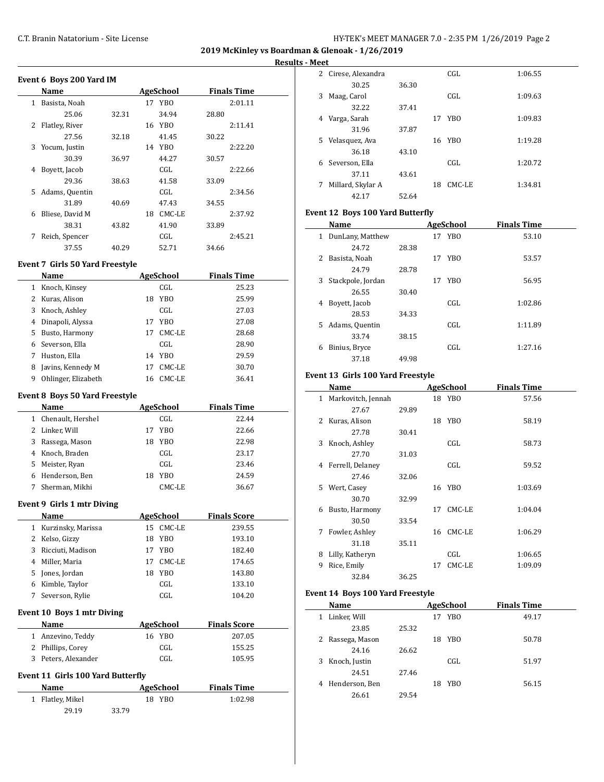**2019 McKinley vs Boardman & Glenoak - 1/26/2019 Results - Meet**

| Event 6 Boys 200 Yard IM |                 |       |    |           |       |                    |  |
|--------------------------|-----------------|-------|----|-----------|-------|--------------------|--|
|                          | Name            |       |    | AgeSchool |       | <b>Finals Time</b> |  |
| 1                        | Basista, Noah   |       |    | 17 YBO    |       | 2:01.11            |  |
|                          | 25.06           | 32.31 |    | 34.94     | 28.80 |                    |  |
| 2                        | Flatley, River  |       | 16 | YBO       |       | 2:11.41            |  |
|                          | 27.56           | 32.18 |    | 41.45     | 30.22 |                    |  |
| 3                        | Yocum, Justin   |       |    | 14 YBO    |       | 2:22.20            |  |
|                          | 30.39           | 36.97 |    | 44.27     | 30.57 |                    |  |
| 4                        | Boyett, Jacob   |       |    | CGL       |       | 2:22.66            |  |
|                          | 29.36           | 38.63 |    | 41.58     | 33.09 |                    |  |
| 5                        | Adams, Quentin  |       |    | CGL       |       | 2:34.56            |  |
|                          | 31.89           | 40.69 |    | 47.43     | 34.55 |                    |  |
| 6                        | Bliese, David M |       | 18 | CMC-LE    |       | 2:37.92            |  |
|                          | 38.31           | 43.82 |    | 41.90     | 33.89 |                    |  |
| 7                        | Reich, Spencer  |       |    | CGL       |       | 2:45.21            |  |
|                          | 37.55           | 40.29 |    | 52.71     | 34.66 |                    |  |

## **Event 7 Girls 50 Yard Freestyle**

 $\overline{a}$ 

|   | Name                | AgeSchool |        | <b>Finals Time</b> |  |
|---|---------------------|-----------|--------|--------------------|--|
| 1 | Knoch, Kinsey       |           | CGL    | 25.23              |  |
| 2 | Kuras, Alison       | 18        | YBO    | 25.99              |  |
| 3 | Knoch, Ashley       |           | CGL    | 27.03              |  |
| 4 | Dinapoli, Alyssa    | 17        | YBO.   | 27.08              |  |
| 5 | Busto, Harmony      | 17        | CMC-LE | 28.68              |  |
| 6 | Severson, Ella      |           | CGL    | 28.90              |  |
|   | Huston, Ella        | 14        | YBO    | 29.59              |  |
| 8 | Javins, Kennedy M   | 17        | CMC-LE | 30.70              |  |
| 9 | Ohlinger, Elizabeth | 16        | CMC-LE | 36.41              |  |

#### **Event 8 Boys 50 Yard Freestyle**

|              | Name                       |    | AgeSchool       | <b>Finals Time</b>  |
|--------------|----------------------------|----|-----------------|---------------------|
| $\mathbf{1}$ | Chenault, Hershel          |    | CGL             | 22.44               |
| 2            | Linker, Will               | 17 | YB <sub>0</sub> | 22.66               |
| 3            | Rassega, Mason             | 18 | <b>YBO</b>      | 22.98               |
| 4            | Knoch, Braden              |    | CGL             | 23.17               |
| 5            | Meister, Ryan              |    | CGL             | 23.46               |
| 6            | Henderson, Ben             | 18 | YB <sub>0</sub> | 24.59               |
| 7            | Sherman, Mikhi             |    | CMC-LE          | 36.67               |
|              |                            |    |                 |                     |
|              | Event 9 Girls 1 mtr Diving |    |                 |                     |
|              | Name                       |    | AgeSchool       | <b>Finals Score</b> |
| 1            | Kurzinsky, Marissa         | 15 | CMC-LE          | 239.55              |
| 2            | Kelso, Gizzy               | 18 | YB <sub>0</sub> | 193.10              |
| 3            | Ricciuti, Madison          | 17 | YB <sub>0</sub> | 182.40              |
| 4            | Miller, Maria              | 17 | CMC-LE          | 174.65              |
| 5            | Jones, Jordan              | 18 | YBO             | 143.80              |
| 6            | Kimble, Taylor             |    | CGL             | 133.10              |

#### **Event 10 Boys 1 mtr Diving**

| Name                | AgeSchool | <b>Finals Score</b> |
|---------------------|-----------|---------------------|
| 1 Anzevino, Teddy   | 16 YBO    | 207.05              |
| 2 Phillips, Corey   | CGL       | 155.25              |
| 3 Peters, Alexander | CGL       | 105.95              |

#### **Event 11 Girls 100 Yard Butterfly**

| <b>Name</b>      | AgeSchool | <b>Finals Time</b> |  |
|------------------|-----------|--------------------|--|
| 1 Flatley, Mikel | 18 YBO    | 1:02.98            |  |
| 29.19            | 33.79     |                    |  |

| .  |                   |       |    |        |         |
|----|-------------------|-------|----|--------|---------|
| 2  | Cirese, Alexandra |       |    | CGL    | 1:06.55 |
|    | 30.25             | 36.30 |    |        |         |
| 3  | Maag, Carol       |       |    | CGL    | 1:09.63 |
|    | 32.22             | 37.41 |    |        |         |
| 4  | Varga, Sarah      |       |    | 17 YBO | 1:09.83 |
|    | 31.96             | 37.87 |    |        |         |
| 5. | Velasquez, Ava    |       |    | 16 YBO | 1:19.28 |
|    | 36.18             | 43.10 |    |        |         |
| 6  | Severson, Ella    |       |    | CGL    | 1:20.72 |
|    | 37.11             | 43.61 |    |        |         |
| 7  | Millard, Skylar A |       | 18 | CMC-LE | 1:34.81 |
|    | 42.17             | 52.64 |    |        |         |

### **Event 12 Boys 100 Yard Butterfly**

| Name                   |       |    | AgeSchool       | <b>Finals Time</b> |
|------------------------|-------|----|-----------------|--------------------|
| DunLany, Matthew<br>1  |       | 17 | YBO             | 53.10              |
| 24.72                  | 28.38 |    |                 |                    |
| 2<br>Basista, Noah     |       | 17 | YB <sub>0</sub> | 53.57              |
| 24.79                  | 28.78 |    |                 |                    |
| Stackpole, Jordan<br>3 |       |    | 17 YBO          | 56.95              |
| 26.55                  | 30.40 |    |                 |                    |
| Boyett, Jacob<br>4     |       |    | CGL.            | 1:02.86            |
| 28.53                  | 34.33 |    |                 |                    |
| Adams, Quentin<br>5.   |       |    | CGL.            | 1:11.89            |
| 33.74                  | 38.15 |    |                 |                    |
| Binius, Bryce<br>6     |       |    | CGL.            | 1:27.16            |
| 37.18                  | 49.98 |    |                 |                    |

#### **Event 13 Girls 100 Yard Freestyle**

|              | Name               |       |    | AgeSchool | <b>Finals Time</b> |  |
|--------------|--------------------|-------|----|-----------|--------------------|--|
| $\mathbf{1}$ | Markovitch, Jennah |       |    | 18 YBO    | 57.56              |  |
|              | 27.67              | 29.89 |    |           |                    |  |
| 2            | Kuras, Alison      |       | 18 | YBO       | 58.19              |  |
|              | 27.78              | 30.41 |    |           |                    |  |
| 3            | Knoch, Ashley      |       |    | CGL       | 58.73              |  |
|              | 27.70              | 31.03 |    |           |                    |  |
| 4            | Ferrell, Delaney   |       |    | CGL       | 59.52              |  |
|              | 27.46              | 32.06 |    |           |                    |  |
| 5.           | Wert, Casey        |       |    | 16 YBO    | 1:03.69            |  |
|              | 30.70              | 32.99 |    |           |                    |  |
| 6            | Busto, Harmony     |       | 17 | CMC-LE    | 1:04.04            |  |
|              | 30.50              | 33.54 |    |           |                    |  |
| 7            | Fowler, Ashley     |       | 16 | CMC-LE    | 1:06.29            |  |
|              | 31.18              | 35.11 |    |           |                    |  |
| 8            | Lilly, Katheryn    |       |    | CGL       | 1:06.65            |  |
| 9            | Rice, Emily        |       | 17 | CMC-LE    | 1:09.09            |  |
|              | 32.84              | 36.25 |    |           |                    |  |
|              |                    |       |    |           |                    |  |

#### **Event 14 Boys 100 Yard Freestyle**

| Name               | AgeSchool |    |                 | <b>Finals Time</b> |
|--------------------|-----------|----|-----------------|--------------------|
| Linker, Will<br>1  |           | 17 | YB <sub>0</sub> | 49.17              |
| 23.85              | 25.32     |    |                 |                    |
| 2 Rassega, Mason   |           | 18 | YBO             | 50.78              |
| 24.16              | 26.62     |    |                 |                    |
| Knoch, Justin<br>3 |           |    | CGL             | 51.97              |
| 24.51              | 27.46     |    |                 |                    |
| 4 Henderson, Ben   |           | 18 | YBO             | 56.15              |
| 26.61              | 29.54     |    |                 |                    |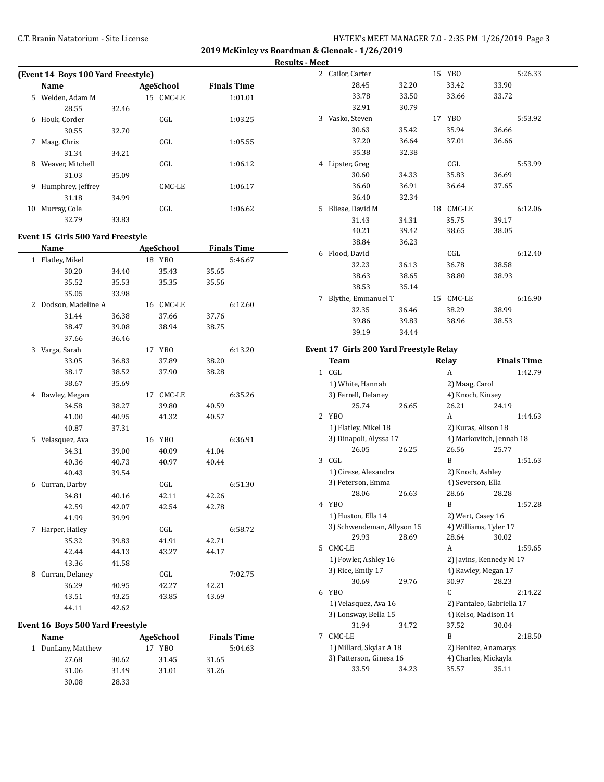**2019 McKinley vs Boardman & Glenoak - 1/26/2019 Results - Meet**

| (Event 14 Boys 100 Yard Freestyle) |                   |       |  |                  |                    |  |  |  |  |
|------------------------------------|-------------------|-------|--|------------------|--------------------|--|--|--|--|
|                                    | Name              |       |  | <b>AgeSchool</b> | <b>Finals Time</b> |  |  |  |  |
| 5.                                 | Welden, Adam M    |       |  | 15 CMC-LE        | 1:01.01            |  |  |  |  |
|                                    | 28.55             | 32.46 |  |                  |                    |  |  |  |  |
| 6                                  | Houk, Corder      |       |  | CGL.             | 1:03.25            |  |  |  |  |
|                                    | 30.55             | 32.70 |  |                  |                    |  |  |  |  |
| 7                                  | Maag, Chris       |       |  | CGL.             | 1:05.55            |  |  |  |  |
|                                    | 31.34             | 34.21 |  |                  |                    |  |  |  |  |
| 8                                  | Weaver, Mitchell  |       |  | CGL.             | 1:06.12            |  |  |  |  |
|                                    | 31.03             | 35.09 |  |                  |                    |  |  |  |  |
| 9                                  | Humphrey, Jeffrey |       |  | CMC-LE           | 1:06.17            |  |  |  |  |
|                                    | 31.18             | 34.99 |  |                  |                    |  |  |  |  |
| 10                                 | Murray, Cole      |       |  | CGL              | 1:06.62            |  |  |  |  |
|                                    | 32.79             | 33.83 |  |                  |                    |  |  |  |  |

#### **Event 15 Girls 500 Yard Freestyle**

|                | Name               |       |    | <b>AgeSchool</b> |       | <b>Finals Time</b> |
|----------------|--------------------|-------|----|------------------|-------|--------------------|
|                | 1 Flatley, Mikel   |       |    | 18 YBO           |       | 5:46.67            |
|                | 30.20              | 34.40 |    | 35.43            | 35.65 |                    |
|                | 35.52              | 35.53 |    | 35.35            | 35.56 |                    |
|                | 35.05              | 33.98 |    |                  |       |                    |
| $\overline{2}$ | Dodson, Madeline A |       |    | 16 CMC-LE        |       | 6:12.60            |
|                | 31.44              | 36.38 |    | 37.66            | 37.76 |                    |
|                | 38.47              | 39.08 |    | 38.94            | 38.75 |                    |
|                | 37.66              | 36.46 |    |                  |       |                    |
| 3              | Varga, Sarah       |       | 17 | <b>YBO</b>       |       | 6:13.20            |
|                | 33.05              | 36.83 |    | 37.89            | 38.20 |                    |
|                | 38.17              | 38.52 |    | 37.90            | 38.28 |                    |
|                | 38.67              | 35.69 |    |                  |       |                    |
|                | 4 Rawley, Megan    |       |    | 17 CMC-LE        |       | 6:35.26            |
|                | 34.58              | 38.27 |    | 39.80            | 40.59 |                    |
|                | 41.00              | 40.95 |    | 41.32            | 40.57 |                    |
|                | 40.87              | 37.31 |    |                  |       |                    |
| 5.             | Velasquez, Ava     |       |    | 16 YBO           |       | 6:36.91            |
|                | 34.31              | 39.00 |    | 40.09            | 41.04 |                    |
|                | 40.36              | 40.73 |    | 40.97            | 40.44 |                    |
|                | 40.43              | 39.54 |    |                  |       |                    |
| 6              | Curran, Darby      |       |    | CGL              |       | 6:51.30            |
|                | 34.81              | 40.16 |    | 42.11            | 42.26 |                    |
|                | 42.59              | 42.07 |    | 42.54            | 42.78 |                    |
|                | 41.99              | 39.99 |    |                  |       |                    |
| 7              | Harper, Hailey     |       |    | CGL              |       | 6:58.72            |
|                | 35.32              | 39.83 |    | 41.91            | 42.71 |                    |
|                | 42.44              | 44.13 |    | 43.27            | 44.17 |                    |
|                | 43.36              | 41.58 |    |                  |       |                    |
| 8              | Curran, Delaney    |       |    | CGL              |       | 7:02.75            |
|                | 36.29              | 40.95 |    | 42.27            | 42.21 |                    |
|                | 43.51              | 43.25 |    | 43.85            | 43.69 |                    |
|                | 44.11              | 42.62 |    |                  |       |                    |

## **Event 16 Boys 500 Yard Freestyle**

| Name               |       | AgeSchool | <b>Finals Time</b> |  |
|--------------------|-------|-----------|--------------------|--|
| 1 DunLany, Matthew |       | YBO<br>17 | 5:04.63            |  |
| 27.68              | 30.62 | 31.45     | 31.65              |  |
| 31.06              | 31.49 | 31.01     | 31.26              |  |
| 30.08              | 28.33 |           |                    |  |

| 2 | Cailor, Carter     |       |    | 15 YBO |       | 5:26.33 |
|---|--------------------|-------|----|--------|-------|---------|
|   | 28.45              | 32.20 |    | 33.42  | 33.90 |         |
|   | 33.78              | 33.50 |    | 33.66  | 33.72 |         |
|   | 32.91              | 30.79 |    |        |       |         |
| 3 | Vasko, Steven      |       |    | 17 YBO |       | 5:53.92 |
|   | 30.63              | 35.42 |    | 35.94  | 36.66 |         |
|   | 37.20              | 36.64 |    | 37.01  | 36.66 |         |
|   | 35.38              | 32.38 |    |        |       |         |
| 4 | Lipster, Greg      |       |    | CGL    |       | 5:53.99 |
|   | 30.60              | 34.33 |    | 35.83  | 36.69 |         |
|   | 36.60              | 36.91 |    | 36.64  | 37.65 |         |
|   | 36.40              | 32.34 |    |        |       |         |
| 5 | Bliese, David M    |       | 18 | CMC-LE |       | 6:12.06 |
|   | 31.43              | 34.31 |    | 35.75  | 39.17 |         |
|   | 40.21              | 39.42 |    | 38.65  | 38.05 |         |
|   | 38.84              | 36.23 |    |        |       |         |
| 6 | Flood, David       |       |    | CGL    |       | 6:12.40 |
|   | 32.23              | 36.13 |    | 36.78  | 38.58 |         |
|   | 38.63              | 38.65 |    | 38.80  | 38.93 |         |
|   | 38.53              | 35.14 |    |        |       |         |
| 7 | Blythe, Emmanuel T |       | 15 | CMC-LE |       | 6:16.90 |
|   | 32.35              | 36.46 |    | 38.29  | 38.99 |         |
|   | 39.86              | 39.83 |    | 38.96  | 38.53 |         |
|   | 39.19              | 34.44 |    |        |       |         |

## **Event 17 Girls 200 Yard Freestyle Relay**

|              | Team                       |       | <b>Relay</b>      | <b>Finals Time</b>        |
|--------------|----------------------------|-------|-------------------|---------------------------|
| $\mathbf{1}$ | CGL                        |       | A                 | 1:42.79                   |
|              | 1) White, Hannah           |       | 2) Maag, Carol    |                           |
|              | 3) Ferrell, Delaney        |       | 4) Knoch, Kinsey  |                           |
|              | 25.74                      | 26.65 | 26.21             | 24.19                     |
| 2            | <b>YBO</b>                 |       | A                 | 1:44.63                   |
|              | 1) Flatley, Mikel 18       |       |                   | 2) Kuras, Alison 18       |
|              | 3) Dinapoli, Alyssa 17     |       |                   | 4) Markovitch, Jennah 18  |
|              | 26.05                      | 26.25 | 26.56             | 25.77                     |
| 3            | CGL                        |       | B                 | 1:51.63                   |
|              | 1) Cirese, Alexandra       |       | 2) Knoch, Ashley  |                           |
|              | 3) Peterson, Emma          |       | 4) Severson, Ella |                           |
|              | 28.06                      | 26.63 | 28.66             | 28.28                     |
| 4            | YB <sub>0</sub>            |       | B                 | 1:57.28                   |
|              | 1) Huston, Ella 14         |       | 2) Wert, Casey 16 |                           |
|              | 3) Schwendeman, Allyson 15 |       |                   | 4) Williams, Tyler 17     |
|              | 29.93                      | 28.69 | 28.64             | 30.02                     |
| 5            | CMC-LE                     |       | A                 | 1:59.65                   |
|              | 1) Fowler, Ashley 16       |       |                   | 2) Javins, Kennedy M 17   |
|              | 3) Rice, Emily 17          |       |                   | 4) Rawley, Megan 17       |
|              | 30.69                      | 29.76 | 30.97             | 28.23                     |
| 6            | YBO                        |       | C.                | 2:14.22                   |
|              | 1) Velasquez, Ava 16       |       |                   | 2) Pantaleo, Gabriella 17 |
|              | 3) Lonsway, Bella 15       |       |                   | 4) Kelso, Madison 14      |
|              | 31.94                      | 34.72 | 37.52             | 30.04                     |
| 7            | CMC-LE                     |       | B                 | 2:18.50                   |
|              | 1) Millard, Skylar A 18    |       |                   | 2) Benitez, Anamarys      |
|              | 3) Patterson, Ginesa 16    |       |                   | 4) Charles, Mickayla      |
|              | 33.59                      | 34.23 | 35.57             | 35.11                     |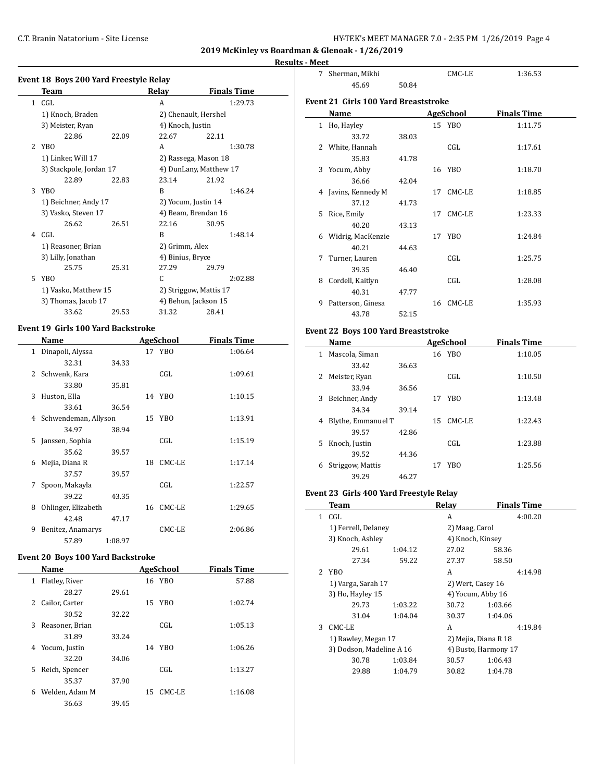**2019 McKinley vs Boardman & Glenoak - 1/26/2019**

#### **Results - Meet**

| <b>Event 18 Boys 200 Yard Freestyle Relay</b> |                         |       |                        |                        |  |  |  |  |
|-----------------------------------------------|-------------------------|-------|------------------------|------------------------|--|--|--|--|
|                                               | Team                    |       | Relay                  | <b>Finals Time</b>     |  |  |  |  |
|                                               | $1$ CGL                 |       | A                      | 1:29.73                |  |  |  |  |
|                                               | 1) Knoch, Braden        |       |                        | 2) Chenault, Hershel   |  |  |  |  |
|                                               | 3) Meister, Ryan        |       | 4) Knoch, Justin       |                        |  |  |  |  |
|                                               | 22.86                   | 22.09 | 22.67                  | 22.11                  |  |  |  |  |
| $\mathcal{L}$                                 | YBO                     |       | A                      | 1:30.78                |  |  |  |  |
|                                               | 1) Linker, Will 17      |       |                        | 2) Rassega, Mason 18   |  |  |  |  |
|                                               | 3) Stackpole, Jordan 17 |       |                        | 4) DunLany, Matthew 17 |  |  |  |  |
|                                               | 22.89                   | 22.83 | 23.14                  | 21.92                  |  |  |  |  |
| 3                                             | YBO                     |       | B                      | 1:46.24                |  |  |  |  |
|                                               | 1) Beichner, Andy 17    |       | 2) Yocum, Justin 14    |                        |  |  |  |  |
|                                               | 3) Vasko, Steven 17     |       | 4) Beam, Brendan 16    |                        |  |  |  |  |
|                                               | 26.62                   | 26.51 | 22.16                  | 30.95                  |  |  |  |  |
| 4                                             | CGL                     |       | B                      | 1:48.14                |  |  |  |  |
|                                               | 1) Reasoner, Brian      |       | 2) Grimm, Alex         |                        |  |  |  |  |
|                                               | 3) Lilly, Jonathan      |       | 4) Binius, Bryce       |                        |  |  |  |  |
|                                               | 25.75                   | 25.31 | 27.29                  | 29.79                  |  |  |  |  |
| 5                                             | YBO                     |       | C                      | 2:02.88                |  |  |  |  |
|                                               | 1) Vasko, Matthew 15    |       | 2) Striggow, Mattis 17 |                        |  |  |  |  |
|                                               | 3) Thomas, Jacob 17     |       |                        | 4) Behun, Jackson 15   |  |  |  |  |
|                                               | 33.62                   | 29.53 | 31.32                  | 28.41                  |  |  |  |  |

## **Event 19 Girls 100 Yard Backstroke**

|                | Name                 |         |    | AgeSchool | <b>Finals Time</b> |
|----------------|----------------------|---------|----|-----------|--------------------|
| 1              | Dinapoli, Alyssa     |         |    | 17 YBO    | 1:06.64            |
|                | 32.31                | 34.33   |    |           |                    |
| $\overline{2}$ | Schwenk, Kara        |         |    | CGL       | 1:09.61            |
|                | 33.80                | 35.81   |    |           |                    |
| 3              | Huston, Ella         |         |    | 14 YBO    | 1:10.15            |
|                | 33.61                | 36.54   |    |           |                    |
| 4              | Schwendeman, Allyson |         |    | 15 YBO    | 1:13.91            |
|                | 34.97                | 38.94   |    |           |                    |
| 5.             | Janssen, Sophia      |         |    | CGL       | 1:15.19            |
|                | 35.62                | 39.57   |    |           |                    |
| 6              | Mejia, Diana R       |         | 18 | CMC-LE    | 1:17.14            |
|                | 37.57                | 39.57   |    |           |                    |
| 7              | Spoon, Makayla       |         |    | CGL       | 1:22.57            |
|                | 39.22                | 43.35   |    |           |                    |
| 8              | Ohlinger, Elizabeth  |         | 16 | CMC-LE    | 1:29.65            |
|                | 42.48                | 47.17   |    |           |                    |
| 9              | Benitez, Anamarys    |         |    | CMC-LE    | 2:06.86            |
|                | 57.89                | 1:08.97 |    |           |                    |

#### **Event 20 Boys 100 Yard Backstroke**

|    | Name            |    | AgeSchool | <b>Finals Time</b> |
|----|-----------------|----|-----------|--------------------|
| 1  | Flatley, River  |    | 16 YBO    | 57.88              |
|    | 28.27<br>29.61  |    |           |                    |
| 2  | Cailor, Carter  | 15 | YBO       | 1:02.74            |
|    | 30.52<br>32.22  |    |           |                    |
| 3  | Reasoner, Brian |    | CGL       | 1:05.13            |
|    | 31.89<br>33.24  |    |           |                    |
| 4  | Yocum, Justin   |    | 14 YBO    | 1:06.26            |
|    | 32.20<br>34.06  |    |           |                    |
| 5. | Reich, Spencer  |    | CGL       | 1:13.27            |
|    | 35.37<br>37.90  |    |           |                    |
| 6  | Welden, Adam M  | 15 | CMC-LE    | 1:16.08            |
|    | 39.45<br>36.63  |    |           |                    |

| 7                                           | Sherman, Mikhi      |       |  | CMC-LE           | 1:36.53            |  |  |  |  |  |  |
|---------------------------------------------|---------------------|-------|--|------------------|--------------------|--|--|--|--|--|--|
|                                             | 45.69               | 50.84 |  |                  |                    |  |  |  |  |  |  |
| <b>Event 21 Girls 100 Yard Breaststroke</b> |                     |       |  |                  |                    |  |  |  |  |  |  |
|                                             | <b>Name</b>         |       |  | <b>AgeSchool</b> | <b>Finals Time</b> |  |  |  |  |  |  |
| $\mathbf{1}$                                | Ho, Hayley          |       |  | 15 YBO           | 1:11.75            |  |  |  |  |  |  |
|                                             | 33.72               | 38.03 |  |                  |                    |  |  |  |  |  |  |
|                                             | 2 White, Hannah     |       |  | CGL              | 1:17.61            |  |  |  |  |  |  |
|                                             | 35.83               | 41.78 |  |                  |                    |  |  |  |  |  |  |
|                                             | 3 Yocum, Abby       |       |  | 16 YBO           | 1:18.70            |  |  |  |  |  |  |
|                                             | 36.66               | 42.04 |  |                  |                    |  |  |  |  |  |  |
|                                             | 4 Javins, Kennedy M |       |  | 17 CMC-LE        | 1:18.85            |  |  |  |  |  |  |
|                                             | 37.12               | 41.73 |  |                  |                    |  |  |  |  |  |  |
| 5                                           | Rice, Emily         |       |  | 17 CMC-LE        | 1:23.33            |  |  |  |  |  |  |
|                                             | 40.20               | 43.13 |  |                  |                    |  |  |  |  |  |  |
| 6                                           | Widrig, MacKenzie   |       |  | 17 YBO           | 1:24.84            |  |  |  |  |  |  |
|                                             | 40.21               | 44.63 |  |                  |                    |  |  |  |  |  |  |
| 7                                           | Turner, Lauren      |       |  | CGL              | 1:25.75            |  |  |  |  |  |  |
|                                             | 39.35               | 46.40 |  |                  |                    |  |  |  |  |  |  |
| 8                                           | Cordell, Kaitlyn    |       |  | CGL              | 1:28.08            |  |  |  |  |  |  |
|                                             | 40.31               | 47.77 |  |                  |                    |  |  |  |  |  |  |
| 9                                           | Patterson, Ginesa   |       |  | 16 CMC-LE        | 1:35.93            |  |  |  |  |  |  |
|                                             | 43.78               | 52.15 |  |                  |                    |  |  |  |  |  |  |
|                                             |                     |       |  |                  |                    |  |  |  |  |  |  |

## **Event 22 Boys 100 Yard Breaststroke**

|    | Name               |       |    | AgeSchool  | <b>Finals Time</b> |  |
|----|--------------------|-------|----|------------|--------------------|--|
| 1  | Mascola, Siman     |       | 16 | YBO        | 1:10.05            |  |
|    | 33.42              | 36.63 |    |            |                    |  |
| 2  | Meister, Ryan      |       |    | CGL        | 1:10.50            |  |
|    | 33.94              | 36.56 |    |            |                    |  |
| 3  | Beichner, Andy     |       | 17 | <b>YBO</b> | 1:13.48            |  |
|    | 34.34              | 39.14 |    |            |                    |  |
| 4  | Blythe, Emmanuel T |       | 15 | CMC-LE     | 1:22.43            |  |
|    | 39.57              | 42.86 |    |            |                    |  |
| 5. | Knoch, Justin      |       |    | CGL        | 1:23.88            |  |
|    | 39.52              | 44.36 |    |            |                    |  |
| 6  | Striggow, Mattis   |       | 17 | YBO        | 1:25.56            |  |
|    | 39.29              | 46.27 |    |            |                    |  |

#### **Event 23 Girls 400 Yard Freestyle Relay**

|   | Team                                            |         | Relay                | <b>Finals Time</b> |
|---|-------------------------------------------------|---------|----------------------|--------------------|
| 1 | CGL                                             |         | A                    | 4:00.20            |
|   | 1) Ferrell, Delaney                             |         | 2) Maag, Carol       |                    |
|   | 3) Knoch, Ashley                                |         | 4) Knoch, Kinsey     |                    |
|   | 29.61                                           | 1:04.12 | 27.02                | 58.36              |
|   | 27.34                                           | 59.22   | 27.37                | 58.50              |
|   | 2 YBO                                           |         | A                    | 4:14.98            |
|   | 1) Varga, Sarah 17<br>3) Ho, Hayley 15          |         | 2) Wert, Casey 16    |                    |
|   |                                                 |         | 4) Yocum, Abby 16    |                    |
|   | 29.73                                           | 1:03.22 | 30.72                | 1:03.66            |
|   | 31.04                                           | 1:04.04 | 30.37                | 1:04.06            |
| 3 | CMC-LE                                          |         | A                    | 4:19.84            |
|   | 1) Rawley, Megan 17<br>3) Dodson, Madeline A 16 |         | 2) Mejia, Diana R 18 |                    |
|   |                                                 |         | 4) Busto, Harmony 17 |                    |
|   | 30.78                                           | 1:03.84 | 30.57                | 1:06.43            |
|   | 29.88                                           | 1:04.79 | 30.82                | 1:04.78            |